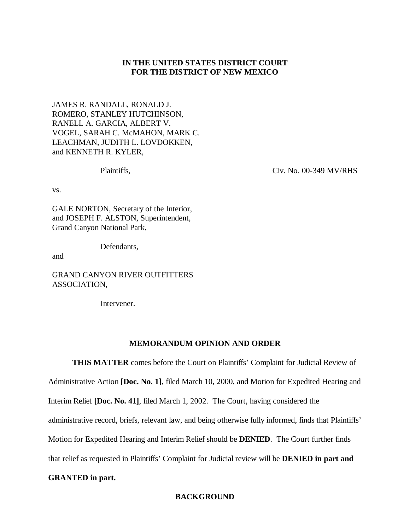# **IN THE UNITED STATES DISTRICT COURT FOR THE DISTRICT OF NEW MEXICO**

JAMES R. RANDALL, RONALD J. ROMERO, STANLEY HUTCHINSON, RANELL A. GARCIA, ALBERT V. VOGEL, SARAH C. McMAHON, MARK C. LEACHMAN, JUDITH L. LOVDOKKEN, and KENNETH R. KYLER,

Plaintiffs,

Civ. No. 00-349 MV/RHS

vs.

GALE NORTON, Secretary of the Interior, and JOSEPH F. ALSTON, Superintendent, Grand Canyon National Park,

Defendants,

and

GRAND CANYON RIVER OUTFITTERS ASSOCIATION,

Intervener.

### **MEMORANDUM OPINION AND ORDER**

**THIS MATTER** comes before the Court on Plaintiffs' Complaint for Judicial Review of

Administrative Action **[Doc. No. 1]**, filed March 10, 2000, and Motion for Expedited Hearing and

Interim Relief **[Doc. No. 41]**, filed March 1, 2002. The Court, having considered the

administrative record, briefs, relevant law, and being otherwise fully informed, finds that Plaintiffs'

Motion for Expedited Hearing and Interim Relief should be **DENIED**. The Court further finds

that relief as requested in Plaintiffs' Complaint for Judicial review will be **DENIED in part and**

### **GRANTED in part.**

## **BACKGROUND**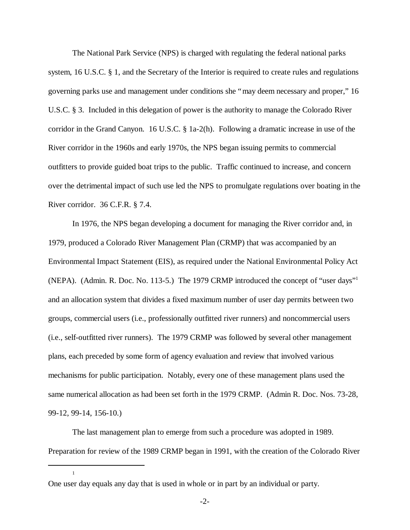The National Park Service (NPS) is charged with regulating the federal national parks system, 16 U.S.C. § 1, and the Secretary of the Interior is required to create rules and regulations governing parks use and management under conditions she "may deem necessary and proper," 16 U.S.C. § 3. Included in this delegation of power is the authority to manage the Colorado River corridor in the Grand Canyon. 16 U.S.C. § 1a-2(h). Following a dramatic increase in use of the River corridor in the 1960s and early 1970s, the NPS began issuing permits to commercial outfitters to provide guided boat trips to the public. Traffic continued to increase, and concern over the detrimental impact of such use led the NPS to promulgate regulations over boating in the River corridor. 36 C.F.R. § 7.4.

In 1976, the NPS began developing a document for managing the River corridor and, in 1979, produced a Colorado River Management Plan (CRMP) that was accompanied by an Environmental Impact Statement (EIS), as required under the National Environmental Policy Act (NEPA). (Admin. R. Doc. No. 113-5.) The 1979 CRMP introduced the concept of "user days" 1 and an allocation system that divides a fixed maximum number of user day permits between two groups, commercial users (i.e., professionally outfitted river runners) and noncommercial users (i.e., self-outfitted river runners). The 1979 CRMP was followed by several other management plans, each preceded by some form of agency evaluation and review that involved various mechanisms for public participation. Notably, every one of these management plans used the same numerical allocation as had been set forth in the 1979 CRMP. (Admin R. Doc. Nos. 73-28, 99-12, 99-14, 156-10.)

The last management plan to emerge from such a procedure was adopted in 1989. Preparation for review of the 1989 CRMP began in 1991, with the creation of the Colorado River

One user day equals any day that is used in whole or in part by an individual or party.

1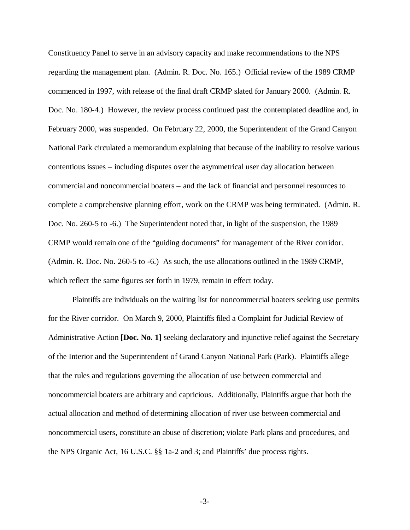Constituency Panel to serve in an advisory capacity and make recommendations to the NPS regarding the management plan. (Admin. R. Doc. No. 165.) Official review of the 1989 CRMP commenced in 1997, with release of the final draft CRMP slated for January 2000. (Admin. R. Doc. No. 180-4.) However, the review process continued past the contemplated deadline and, in February 2000, was suspended. On February 22, 2000, the Superintendent of the Grand Canyon National Park circulated a memorandum explaining that because of the inability to resolve various contentious issues – including disputes over the asymmetrical user day allocation between commercial and noncommercial boaters – and the lack of financial and personnel resources to complete a comprehensive planning effort, work on the CRMP was being terminated. (Admin. R. Doc. No. 260-5 to -6.) The Superintendent noted that, in light of the suspension, the 1989 CRMP would remain one of the "guiding documents" for management of the River corridor. (Admin. R. Doc. No. 260-5 to -6.) As such, the use allocations outlined in the 1989 CRMP, which reflect the same figures set forth in 1979, remain in effect today.

Plaintiffs are individuals on the waiting list for noncommercial boaters seeking use permits for the River corridor. On March 9, 2000, Plaintiffs filed a Complaint for Judicial Review of Administrative Action **[Doc. No. 1]** seeking declaratory and injunctive relief against the Secretary of the Interior and the Superintendent of Grand Canyon National Park (Park). Plaintiffs allege that the rules and regulations governing the allocation of use between commercial and noncommercial boaters are arbitrary and capricious. Additionally, Plaintiffs argue that both the actual allocation and method of determining allocation of river use between commercial and noncommercial users, constitute an abuse of discretion; violate Park plans and procedures, and the NPS Organic Act, 16 U.S.C. §§ 1a-2 and 3; and Plaintiffs' due process rights.

-3-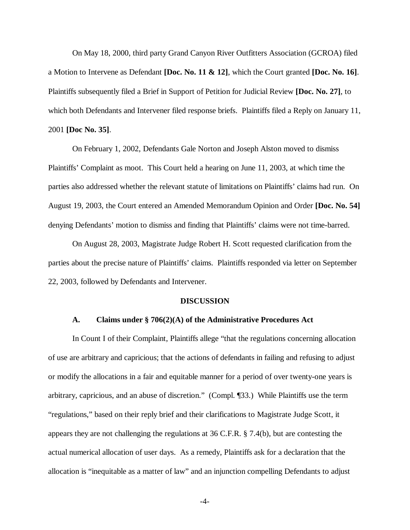On May 18, 2000, third party Grand Canyon River Outfitters Association (GCROA) filed a Motion to Intervene as Defendant **[Doc. No. 11 & 12]**, which the Court granted **[Doc. No. 16]**. Plaintiffs subsequently filed a Brief in Support of Petition for Judicial Review **[Doc. No. 27]**, to which both Defendants and Intervener filed response briefs. Plaintiffs filed a Reply on January 11, 2001 **[Doc No. 35]**.

On February 1, 2002, Defendants Gale Norton and Joseph Alston moved to dismiss Plaintiffs' Complaint as moot. This Court held a hearing on June 11, 2003, at which time the parties also addressed whether the relevant statute of limitations on Plaintiffs' claims had run. On August 19, 2003, the Court entered an Amended Memorandum Opinion and Order **[Doc. No. 54]** denying Defendants' motion to dismiss and finding that Plaintiffs' claims were not time-barred.

On August 28, 2003, Magistrate Judge Robert H. Scott requested clarification from the parties about the precise nature of Plaintiffs' claims. Plaintiffs responded via letter on September 22, 2003, followed by Defendants and Intervener.

#### **DISCUSSION**

### **A. Claims under § 706(2)(A) of the Administrative Procedures Act**

In Count I of their Complaint, Plaintiffs allege "that the regulations concerning allocation of use are arbitrary and capricious; that the actions of defendants in failing and refusing to adjust or modify the allocations in a fair and equitable manner for a period of over twenty-one years is arbitrary, capricious, and an abuse of discretion." (Compl. ¶33.) While Plaintiffs use the term "regulations," based on their reply brief and their clarifications to Magistrate Judge Scott, it appears they are not challenging the regulations at 36 C.F.R. § 7.4(b), but are contesting the actual numerical allocation of user days. As a remedy, Plaintiffs ask for a declaration that the allocation is "inequitable as a matter of law" and an injunction compelling Defendants to adjust

-4-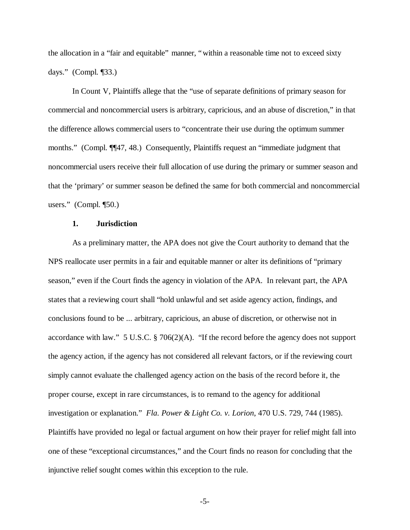the allocation in a "fair and equitable" manner, "within a reasonable time not to exceed sixty days." (Compl. ¶33.)

In Count V, Plaintiffs allege that the "use of separate definitions of primary season for commercial and noncommercial users is arbitrary, capricious, and an abuse of discretion," in that the difference allows commercial users to "concentrate their use during the optimum summer months." (Compl. ¶[47, 48.) Consequently, Plaintiffs request an "immediate judgment that noncommercial users receive their full allocation of use during the primary or summer season and that the 'primary' or summer season be defined the same for both commercial and noncommercial users." (Compl. ¶50.)

#### **1. Jurisdiction**

As a preliminary matter, the APA does not give the Court authority to demand that the NPS reallocate user permits in a fair and equitable manner or alter its definitions of "primary season," even if the Court finds the agency in violation of the APA. In relevant part, the APA states that a reviewing court shall "hold unlawful and set aside agency action, findings, and conclusions found to be ... arbitrary, capricious, an abuse of discretion, or otherwise not in accordance with law." 5 U.S.C. § 706(2)(A). "If the record before the agency does not support the agency action, if the agency has not considered all relevant factors, or if the reviewing court simply cannot evaluate the challenged agency action on the basis of the record before it, the proper course, except in rare circumstances, is to remand to the agency for additional investigation or explanation." *Fla. Power & Light Co. v. Lorion*, 470 U.S. 729, 744 (1985). Plaintiffs have provided no legal or factual argument on how their prayer for relief might fall into one of these "exceptional circumstances," and the Court finds no reason for concluding that the injunctive relief sought comes within this exception to the rule.

-5-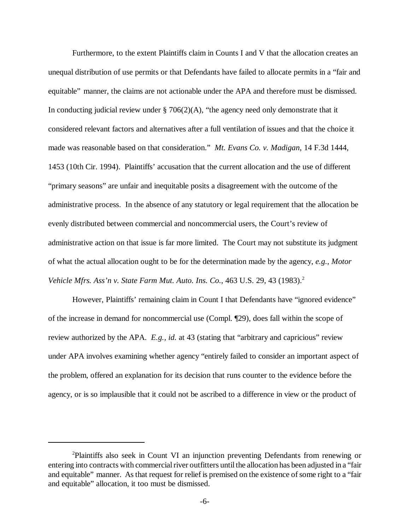Furthermore, to the extent Plaintiffs claim in Counts I and V that the allocation creates an unequal distribution of use permits or that Defendants have failed to allocate permits in a "fair and equitable" manner, the claims are not actionable under the APA and therefore must be dismissed. In conducting judicial review under  $\S 706(2)(A)$ , "the agency need only demonstrate that it considered relevant factors and alternatives after a full ventilation of issues and that the choice it made was reasonable based on that consideration." *Mt. Evans Co. v. Madigan*, 14 F.3d 1444, 1453 (10th Cir. 1994). Plaintiffs' accusation that the current allocation and the use of different "primary seasons" are unfair and inequitable posits a disagreement with the outcome of the administrative process. In the absence of any statutory or legal requirement that the allocation be evenly distributed between commercial and noncommercial users, the Court's review of administrative action on that issue is far more limited. The Court may not substitute its judgment of what the actual allocation ought to be for the determination made by the agency, *e.g., Motor Vehicle Mfrs. Ass'n v. State Farm Mut. Auto. Ins. Co., 463 U.S. 29, 43 (1983).*<sup>2</sup>

However, Plaintiffs' remaining claim in Count I that Defendants have "ignored evidence" of the increase in demand for noncommercial use (Compl. ¶29), does fall within the scope of review authorized by the APA. *E.g., id.* at 43 (stating that "arbitrary and capricious" review under APA involves examining whether agency "entirely failed to consider an important aspect of the problem, offered an explanation for its decision that runs counter to the evidence before the agency, or is so implausible that it could not be ascribed to a difference in view or the product of

<sup>&</sup>lt;sup>2</sup>Plaintiffs also seek in Count VI an injunction preventing Defendants from renewing or entering into contracts with commercial river outfitters until the allocation has been adjusted in a "fair and equitable" manner. As that request for relief is premised on the existence of some right to a "fair and equitable" allocation, it too must be dismissed.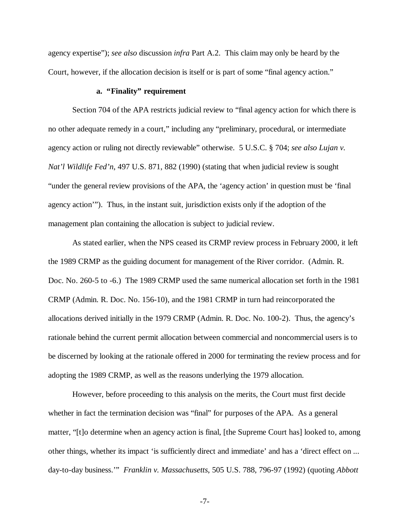agency expertise"); *see also* discussion *infra* Part A.2. This claim may only be heard by the Court, however, if the allocation decision is itself or is part of some "final agency action."

#### **a. "Finality" requirement**

Section 704 of the APA restricts judicial review to "final agency action for which there is no other adequate remedy in a court," including any "preliminary, procedural, or intermediate agency action or ruling not directly reviewable" otherwise.5 U.S.C. § 704; *see also Lujan v. Nat'l Wildlife Fed'n*, 497 U.S. 871, 882 (1990) (stating that when judicial review is sought "under the general review provisions of the APA, the 'agency action' in question must be 'final agency action'"). Thus, in the instant suit, jurisdiction exists only if the adoption of the management plan containing the allocation is subject to judicial review.

As stated earlier, when the NPS ceased its CRMP review process in February 2000, it left the 1989 CRMP as the guiding document for management of the River corridor. (Admin. R. Doc. No. 260-5 to -6.) The 1989 CRMP used the same numerical allocation set forth in the 1981 CRMP (Admin. R. Doc. No. 156-10), and the 1981 CRMP in turn had reincorporated the allocations derived initially in the 1979 CRMP (Admin. R. Doc. No. 100-2). Thus, the agency's rationale behind the current permit allocation between commercial and noncommercial users is to be discerned by looking at the rationale offered in 2000 for terminating the review process and for adopting the 1989 CRMP, as well as the reasons underlying the 1979 allocation.

However, before proceeding to this analysis on the merits, the Court must first decide whether in fact the termination decision was "final" for purposes of the APA. As a general matter, "[t]o determine when an agency action is final, [the Supreme Court has] looked to, among other things, whether its impact 'is sufficiently direct and immediate' and has a 'direct effect on ... day-to-day business.'" *Franklin v. Massachusetts*, 505 U.S. 788, 796-97 (1992) (quoting *Abbott*

<sup>-7-</sup>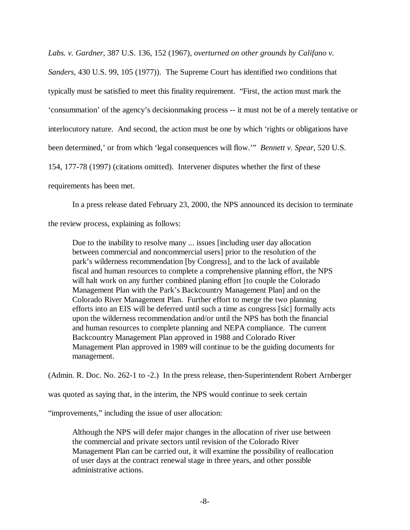*Labs. v. Gardner*, 387 U.S. 136, 152 (1967), *overturned on other grounds by Califano v.*

*Sanders*, 430 U.S. 99, 105 (1977)). The Supreme Court has identified two conditions that typically must be satisfied to meet this finality requirement. "First, the action must mark the 'consummation' of the agency's decisionmaking process -- it must not be of a merely tentative or interlocutory nature. And second, the action must be one by which 'rights or obligations have been determined,' or from which 'legal consequences will flow.'" *Bennett v. Spear*, 520 U.S. 154, 177-78 (1997) (citations omitted). Intervener disputes whether the first of these

requirements has been met.

In a press release dated February 23, 2000, the NPS announced its decision to terminate

the review process, explaining as follows:

Due to the inability to resolve many ... issues [including user day allocation between commercial and noncommercial users] prior to the resolution of the park's wilderness recommendation [by Congress], and to the lack of available fiscal and human resources to complete a comprehensive planning effort, the NPS will halt work on any further combined planing effort [to couple the Colorado Management Plan with the Park's Backcountry Management Plan] and on the Colorado River Management Plan. Further effort to merge the two planning efforts into an EIS will be deferred until such a time as congress [sic] formally acts upon the wilderness recommendation and/or until the NPS has both the financial and human resources to complete planning and NEPA compliance. The current Backcountry Management Plan approved in 1988 and Colorado River Management Plan approved in 1989 will continue to be the guiding documents for management.

(Admin. R. Doc. No. 262-1 to -2.) In the press release, then-Superintendent Robert Arnberger

was quoted as saying that, in the interim, the NPS would continue to seek certain

"improvements," including the issue of user allocation:

Although the NPS will defer major changes in the allocation of river use between the commercial and private sectors until revision of the Colorado River Management Plan can be carried out, it will examine the possibility of reallocation of user days at the contract renewal stage in three years, and other possible administrative actions.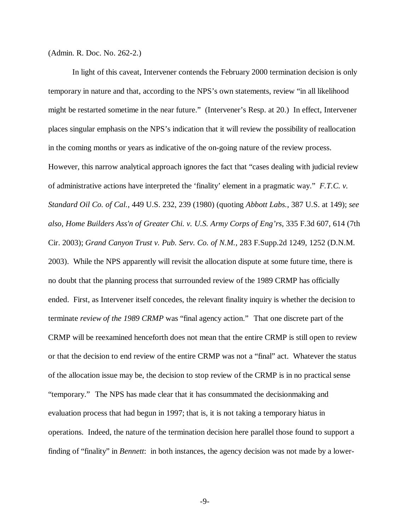(Admin. R. Doc. No. 262-2.)

In light of this caveat, Intervener contends the February 2000 termination decision is only temporary in nature and that, according to the NPS's own statements, review "in all likelihood might be restarted sometime in the near future." (Intervener's Resp. at 20.) In effect, Intervener places singular emphasis on the NPS's indication that it will review the possibility of reallocation in the coming months or years as indicative of the on-going nature of the review process. However, this narrow analytical approach ignores the fact that "cases dealing with judicial review of administrative actions have interpreted the 'finality' element in a pragmatic way." *F.T.C. v. Standard Oil Co. of Cal.*, 449 U.S. 232, 239 (1980) (quoting *Abbott Labs.*, 387 U.S. at 149); *see also, Home Builders Ass'n of Greater Chi. v. U.S. Army Corps of Eng'rs*, 335 F.3d 607, 614 (7th Cir. 2003); *Grand Canyon Trust v. Pub. Serv. Co. of N.M.*, 283 F.Supp.2d 1249, 1252 (D.N.M. 2003). While the NPS apparently will revisit the allocation dispute at some future time, there is no doubt that the planning process that surrounded review of the 1989 CRMP has officially ended. First, as Intervener itself concedes, the relevant finality inquiry is whether the decision to terminate *review of the 1989 CRMP* was "final agency action." That one discrete part of the CRMP will be reexamined henceforth does not mean that the entire CRMP is still open to review or that the decision to end review of the entire CRMP was not a "final" act. Whatever the status of the allocation issue may be, the decision to stop review of the CRMP is in no practical sense "temporary." The NPS has made clear that it has consummated the decisionmaking and evaluation process that had begun in 1997; that is, it is not taking a temporary hiatus in operations. Indeed, the nature of the termination decision here parallel those found to support a finding of "finality" in *Bennett*: in both instances, the agency decision was not made by a lower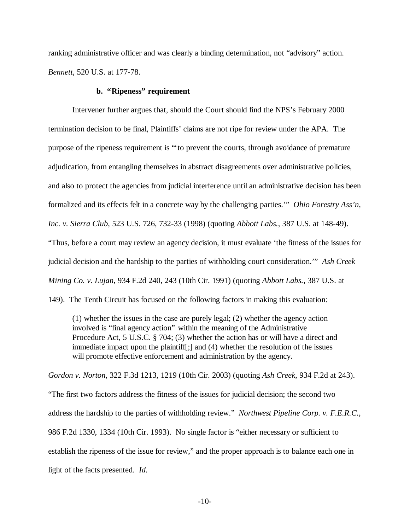ranking administrative officer and was clearly a binding determination, not "advisory" action. *Bennett*, 520 U.S. at 177-78.

#### **b. "Ripeness" requirement**

Intervener further argues that, should the Court should find the NPS's February 2000 termination decision to be final, Plaintiffs' claims are not ripe for review under the APA. The purpose of the ripeness requirement is "'to prevent the courts, through avoidance of premature adjudication, from entangling themselves in abstract disagreements over administrative policies, and also to protect the agencies from judicial interference until an administrative decision has been formalized and its effects felt in a concrete way by the challenging parties.'" *Ohio Forestry Ass'n, Inc. v. Sierra Club*, 523 U.S. 726, 732-33 (1998) (quoting *Abbott Labs.*, 387 U.S. at 148-49). "Thus, before a court may review an agency decision, it must evaluate 'the fitness of the issues for judicial decision and the hardship to the parties of withholding court consideration.'" *Ash Creek Mining Co. v. Lujan*, 934 F.2d 240, 243 (10th Cir. 1991) (quoting *Abbott Labs.*, 387 U.S. at 149). The Tenth Circuit has focused on the following factors in making this evaluation:

(1) whether the issues in the case are purely legal; (2) whether the agency action involved is "final agency action" within the meaning of the Administrative Procedure Act, 5 U.S.C. § 704; (3) whether the action has or will have a direct and immediate impact upon the plaintiff[;] and (4) whether the resolution of the issues will promote effective enforcement and administration by the agency.

*Gordon v. Norton*, 322 F.3d 1213, 1219 (10th Cir. 2003) (quoting *Ash Creek*, 934 F.2d at 243).

"The first two factors address the fitness of the issues for judicial decision; the second two address the hardship to the parties of withholding review." *Northwest Pipeline Corp. v. F.E.R.C.*, 986 F.2d 1330, 1334 (10th Cir. 1993). No single factor is "either necessary or sufficient to establish the ripeness of the issue for review," and the proper approach is to balance each one in light of the facts presented. *Id.*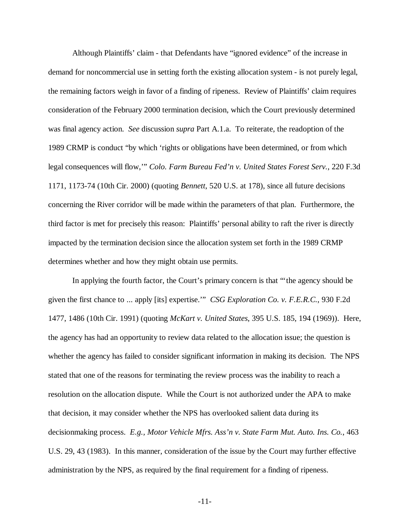Although Plaintiffs' claim - that Defendants have "ignored evidence" of the increase in demand for noncommercial use in setting forth the existing allocation system - is not purely legal, the remaining factors weigh in favor of a finding of ripeness. Review of Plaintiffs' claim requires consideration of the February 2000 termination decision, which the Court previously determined was final agency action. *See* discussion *supra* Part A.1.a. To reiterate, the readoption of the 1989 CRMP is conduct "by which 'rights or obligations have been determined, or from which legal consequences will flow,'" *Colo. Farm Bureau Fed'n v. United States Forest Serv.*, 220 F.3d 1171, 1173-74 (10th Cir. 2000) (quoting *Bennett*, 520 U.S. at 178), since all future decisions concerning the River corridor will be made within the parameters of that plan. Furthermore, the third factor is met for precisely this reason: Plaintiffs' personal ability to raft the river is directly impacted by the termination decision since the allocation system set forth in the 1989 CRMP determines whether and how they might obtain use permits.

In applying the fourth factor, the Court's primary concern is that "'the agency should be given the first chance to ... apply [its] expertise.'" *CSG Exploration Co. v. F.E.R.C.*, 930 F.2d 1477, 1486 (10th Cir. 1991) (quoting *McKart v. United States*, 395 U.S. 185, 194 (1969)). Here, the agency has had an opportunity to review data related to the allocation issue; the question is whether the agency has failed to consider significant information in making its decision. The NPS stated that one of the reasons for terminating the review process was the inability to reach a resolution on the allocation dispute. While the Court is not authorized under the APA to make that decision, it may consider whether the NPS has overlooked salient data during its decisionmaking process. *E.g., Motor Vehicle Mfrs. Ass'n v. State Farm Mut. Auto. Ins. Co.*, 463 U.S. 29, 43 (1983). In this manner, consideration of the issue by the Court may further effective administration by the NPS, as required by the final requirement for a finding of ripeness.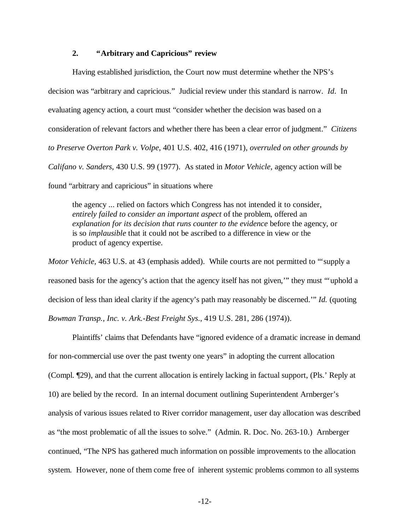### **2. "Arbitrary and Capricious" review**

Having established jurisdiction, the Court now must determine whether the NPS's decision was "arbitrary and capricious." Judicial review under this standard is narrow. *Id*. In evaluating agency action, a court must "consider whether the decision was based on a consideration of relevant factors and whether there has been a clear error of judgment." *Citizens to Preserve Overton Park v. Volpe*, 401 U.S. 402, 416 (1971), *overruled on other grounds by Califano v. Sanders*, 430 U.S. 99 (1977). As stated in *Motor Vehicle*, agency action will be found "arbitrary and capricious" in situations where

the agency ... relied on factors which Congress has not intended it to consider, *entirely failed to consider an important aspect* of the problem, offered an *explanation for its decision that runs counter to the evidence* before the agency, or is so *implausible* that it could not be ascribed to a difference in view or the product of agency expertise.

*Motor Vehicle,* 463 U.S. at 43 (emphasis added). While courts are not permitted to "supply a reasoned basis for the agency's action that the agency itself has not given,'" they must "'uphold a decision of less than ideal clarity if the agency's path may reasonably be discerned.'" *Id.* (quoting *Bowman Transp., Inc. v. Ark.-Best Freight Sys*., 419 U.S. 281, 286 (1974)).

Plaintiffs' claims that Defendants have "ignored evidence of a dramatic increase in demand for non-commercial use over the past twenty one years" in adopting the current allocation (Compl. ¶29), and that the current allocation is entirely lacking in factual support, (Pls.' Reply at 10) are belied by the record. In an internal document outlining Superintendent Arnberger's analysis of various issues related to River corridor management, user day allocation was described as "the most problematic of all the issues to solve." (Admin. R. Doc. No. 263-10.) Arnberger continued, "The NPS has gathered much information on possible improvements to the allocation system. However, none of them come free of inherent systemic problems common to all systems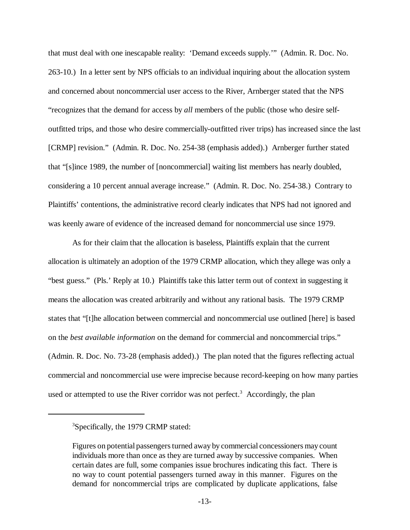that must deal with one inescapable reality: 'Demand exceeds supply.'" (Admin. R. Doc. No. 263-10.) In a letter sent by NPS officials to an individual inquiring about the allocation system and concerned about noncommercial user access to the River, Arnberger stated that the NPS "recognizes that the demand for access by *all* members of the public (those who desire selfoutfitted trips, and those who desire commercially-outfitted river trips) has increased since the last [CRMP] revision." (Admin. R. Doc. No. 254-38 (emphasis added).) Arnberger further stated that "[s]ince 1989, the number of [noncommercial] waiting list members has nearly doubled, considering a 10 percent annual average increase." (Admin. R. Doc. No. 254-38.) Contrary to Plaintiffs' contentions, the administrative record clearly indicates that NPS had not ignored and was keenly aware of evidence of the increased demand for noncommercial use since 1979.

As for their claim that the allocation is baseless, Plaintiffs explain that the current allocation is ultimately an adoption of the 1979 CRMP allocation, which they allege was only a "best guess." (Pls.' Reply at 10.) Plaintiffs take this latter term out of context in suggesting it means the allocation was created arbitrarily and without any rational basis. The 1979 CRMP states that "[t]he allocation between commercial and noncommercial use outlined [here] is based on the *best available information* on the demand for commercial and noncommercial trips." (Admin. R. Doc. No. 73-28 (emphasis added).) The plan noted that the figures reflecting actual commercial and noncommercial use were imprecise because record-keeping on how many parties used or attempted to use the River corridor was not perfect.<sup>3</sup> Accordingly, the plan

<sup>&</sup>lt;sup>3</sup>Specifically, the 1979 CRMP stated:

Figures on potential passengers turned away by commercial concessioners may count individuals more than once as they are turned away by successive companies. When certain dates are full, some companies issue brochures indicating this fact. There is no way to count potential passengers turned away in this manner. Figures on the demand for noncommercial trips are complicated by duplicate applications, false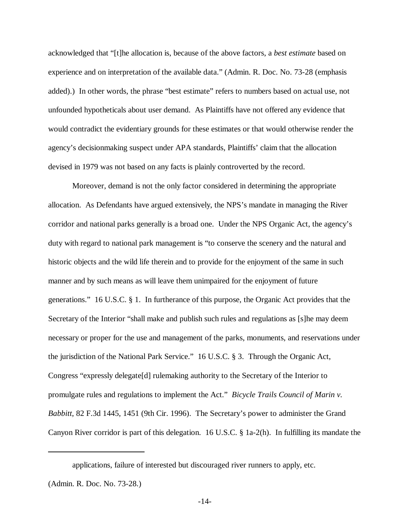acknowledged that "[t]he allocation is, because of the above factors, a *best estimate* based on experience and on interpretation of the available data." (Admin. R. Doc. No. 73-28 (emphasis added).) In other words, the phrase "best estimate" refers to numbers based on actual use, not unfounded hypotheticals about user demand. As Plaintiffs have not offered any evidence that would contradict the evidentiary grounds for these estimates or that would otherwise render the agency's decisionmaking suspect under APA standards, Plaintiffs' claim that the allocation devised in 1979 was not based on any facts is plainly controverted by the record.

Moreover, demand is not the only factor considered in determining the appropriate allocation. As Defendants have argued extensively, the NPS's mandate in managing the River corridor and national parks generally is a broad one. Under the NPS Organic Act, the agency's duty with regard to national park management is "to conserve the scenery and the natural and historic objects and the wild life therein and to provide for the enjoyment of the same in such manner and by such means as will leave them unimpaired for the enjoyment of future generations." 16 U.S.C. § 1. In furtherance of this purpose, the Organic Act provides that the Secretary of the Interior "shall make and publish such rules and regulations as [s]he may deem necessary or proper for the use and management of the parks, monuments, and reservations under the jurisdiction of the National Park Service." 16 U.S.C. § 3. Through the Organic Act, Congress "expressly delegate[d] rulemaking authority to the Secretary of the Interior to promulgate rules and regulations to implement the Act." *Bicycle Trails Council of Marin v. Babbitt*, 82 F.3d 1445, 1451 (9th Cir. 1996). The Secretary's power to administer the Grand Canyon River corridor is part of this delegation. 16 U.S.C. § 1a-2(h). In fulfilling its mandate the

(Admin. R. Doc. No. 73-28.)

applications, failure of interested but discouraged river runners to apply, etc.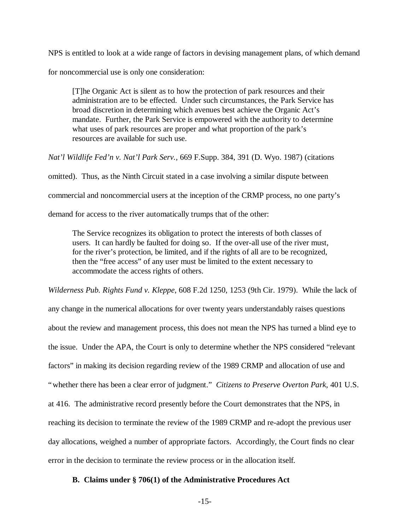NPS is entitled to look at a wide range of factors in devising management plans, of which demand

for noncommercial use is only one consideration:

[T]he Organic Act is silent as to how the protection of park resources and their administration are to be effected. Under such circumstances, the Park Service has broad discretion in determining which avenues best achieve the Organic Act's mandate. Further, the Park Service is empowered with the authority to determine what uses of park resources are proper and what proportion of the park's resources are available for such use.

*Nat'l Wildlife Fed'n v. Nat'l Park Serv.,* 669 F.Supp. 384, 391 (D. Wyo. 1987) (citations

omitted). Thus, as the Ninth Circuit stated in a case involving a similar dispute between commercial and noncommercial users at the inception of the CRMP process, no one party's demand for access to the river automatically trumps that of the other:

The Service recognizes its obligation to protect the interests of both classes of users. It can hardly be faulted for doing so. If the over-all use of the river must, for the river's protection, be limited, and if the rights of all are to be recognized, then the "free access" of any user must be limited to the extent necessary to accommodate the access rights of others.

*Wilderness Pub. Rights Fund v. Kleppe*, 608 F.2d 1250, 1253 (9th Cir. 1979). While the lack of any change in the numerical allocations for over twenty years understandably raises questions about the review and management process, this does not mean the NPS has turned a blind eye to the issue. Under the APA, the Court is only to determine whether the NPS considered "relevant factors" in making its decision regarding review of the 1989 CRMP and allocation of use and "whether there has been a clear error of judgment." *Citizens to Preserve Overton Park*, 401 U.S. at 416. The administrative record presently before the Court demonstrates that the NPS, in reaching its decision to terminate the review of the 1989 CRMP and re-adopt the previous user day allocations, weighed a number of appropriate factors. Accordingly, the Court finds no clear error in the decision to terminate the review process or in the allocation itself.

### **B. Claims under § 706(1) of the Administrative Procedures Act**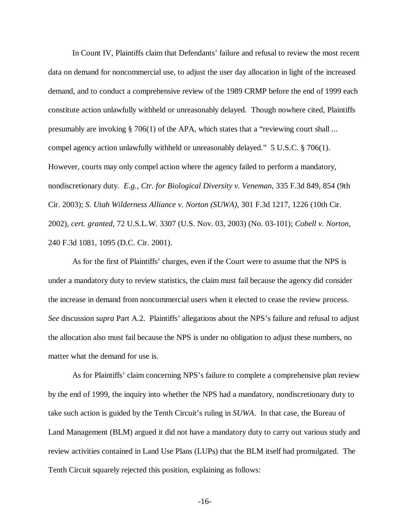In Count IV, Plaintiffs claim that Defendants' failure and refusal to review the most recent data on demand for noncommercial use, to adjust the user day allocation in light of the increased demand, and to conduct a comprehensive review of the 1989 CRMP before the end of 1999 each constitute action unlawfully withheld or unreasonably delayed. Though nowhere cited, Plaintiffs presumably are invoking § 706(1) of the APA, which states that a "reviewing court shall ... compel agency action unlawfully withheld or unreasonably delayed." 5 U.S.C. § 706(1). However, courts may only compel action where the agency failed to perform a mandatory, nondiscretionary duty. *E.g., Ctr. for Biological Diversity v. Veneman*, 335 F.3d 849, 854 (9th Cir. 2003); *S. Utah Wilderness Alliance v. Norton (SUWA)*, 301 F.3d 1217, 1226 (10th Cir. 2002), *cert. granted*, 72 U.S.L.W. 3307 (U.S. Nov. 03, 2003) (No. 03-101); *Cobell v. Norton*, 240 F.3d 1081, 1095 (D.C. Cir. 2001).

As for the first of Plaintiffs' charges, even if the Court were to assume that the NPS is under a mandatory duty to review statistics, the claim must fail because the agency did consider the increase in demand from noncommercial users when it elected to cease the review process. *See* discussion *supra* Part A.2. Plaintiffs' allegations about the NPS's failure and refusal to adjust the allocation also must fail because the NPS is under no obligation to adjust these numbers, no matter what the demand for use is.

As for Plaintiffs' claim concerning NPS's failure to complete a comprehensive plan review by the end of 1999, the inquiry into whether the NPS had a mandatory, nondiscretionary duty to take such action is guided by the Tenth Circuit's ruling in *SUWA*. In that case, the Bureau of Land Management (BLM) argued it did not have a mandatory duty to carry out various study and review activities contained in Land Use Plans (LUPs) that the BLM itself had promulgated. The Tenth Circuit squarely rejected this position, explaining as follows: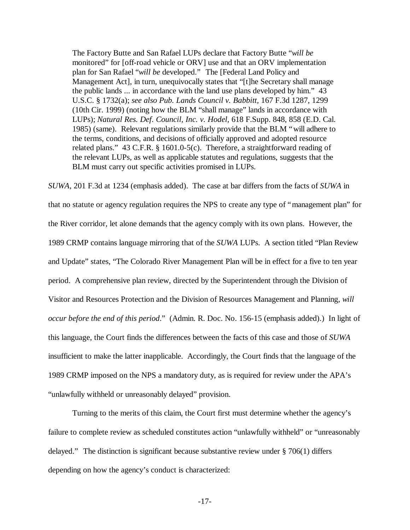The Factory Butte and San Rafael LUPs declare that Factory Butte "*will be* monitored" for [off-road vehicle or ORV] use and that an ORV implementation plan for San Rafael "*will be* developed." The [Federal Land Policy and Management Act], in turn, unequivocally states that "[t]he Secretary shall manage the public lands ... in accordance with the land use plans developed by him." 43 U.S.C. § 1732(a); *see also Pub. Lands Council v. Babbitt,* 167 F.3d 1287, 1299 (10th Cir. 1999) (noting how the BLM "shall manage" lands in accordance with LUPs); *Natural Res. Def. Council, Inc. v. Hodel,* 618 F.Supp. 848, 858 (E.D. Cal. 1985) (same). Relevant regulations similarly provide that the BLM "will adhere to the terms, conditions, and decisions of officially approved and adopted resource related plans." 43 C.F.R. § 1601.0-5(c). Therefore, a straightforward reading of the relevant LUPs, as well as applicable statutes and regulations, suggests that the BLM must carry out specific activities promised in LUPs.

*SUWA*, 201 F.3d at 1234 (emphasis added). The case at bar differs from the facts of *SUWA* in that no statute or agency regulation requires the NPS to create any type of "management plan" for the River corridor, let alone demands that the agency comply with its own plans. However, the 1989 CRMP contains language mirroring that of the *SUWA* LUPs. A section titled "Plan Review and Update" states, "The Colorado River Management Plan will be in effect for a five to ten year period. A comprehensive plan review, directed by the Superintendent through the Division of Visitor and Resources Protection and the Division of Resources Management and Planning, *will occur before the end of this period*." (Admin. R. Doc. No. 156-15 (emphasis added).) In light of this language, the Court finds the differences between the facts of this case and those of *SUWA* insufficient to make the latter inapplicable. Accordingly, the Court finds that the language of the 1989 CRMP imposed on the NPS a mandatory duty, as is required for review under the APA's "unlawfully withheld or unreasonably delayed" provision.

Turning to the merits of this claim, the Court first must determine whether the agency's failure to complete review as scheduled constitutes action "unlawfully withheld" or "unreasonably delayed." The distinction is significant because substantive review under § 706(1) differs depending on how the agency's conduct is characterized: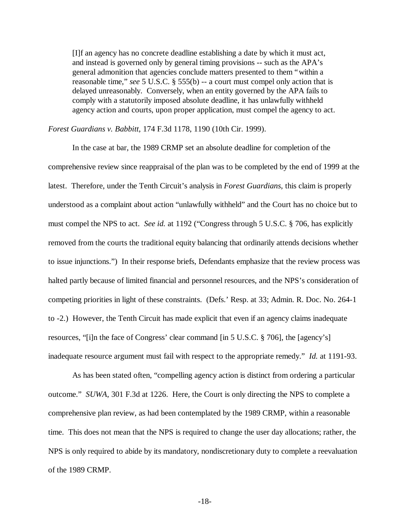[I]f an agency has no concrete deadline establishing a date by which it must act, and instead is governed only by general timing provisions -- such as the APA's general admonition that agencies conclude matters presented to them "within a reasonable time," *see* 5 U.S.C. § 555(b) -- a court must compel only action that is delayed unreasonably. Conversely, when an entity governed by the APA fails to comply with a statutorily imposed absolute deadline, it has unlawfully withheld agency action and courts, upon proper application, must compel the agency to act.

*Forest Guardians v. Babbitt*, 174 F.3d 1178, 1190 (10th Cir. 1999).

In the case at bar, the 1989 CRMP set an absolute deadline for completion of the comprehensive review since reappraisal of the plan was to be completed by the end of 1999 at the latest. Therefore, under the Tenth Circuit's analysis in *Forest Guardians*, this claim is properly understood as a complaint about action "unlawfully withheld" and the Court has no choice but to must compel the NPS to act. *See id.* at 1192 ("Congress through 5 U.S.C. § 706, has explicitly removed from the courts the traditional equity balancing that ordinarily attends decisions whether to issue injunctions.") In their response briefs, Defendants emphasize that the review process was halted partly because of limited financial and personnel resources, and the NPS's consideration of competing priorities in light of these constraints. (Defs.' Resp. at 33; Admin. R. Doc. No. 264-1 to -2.) However, the Tenth Circuit has made explicit that even if an agency claims inadequate resources, "[i]n the face of Congress' clear command [in 5 U.S.C. § 706], the [agency's] inadequate resource argument must fail with respect to the appropriate remedy." *Id.* at 1191-93.

As has been stated often, "compelling agency action is distinct from ordering a particular outcome." *SUWA*, 301 F.3d at 1226. Here, the Court is only directing the NPS to complete a comprehensive plan review, as had been contemplated by the 1989 CRMP, within a reasonable time. This does not mean that the NPS is required to change the user day allocations; rather, the NPS is only required to abide by its mandatory, nondiscretionary duty to complete a reevaluation of the 1989 CRMP.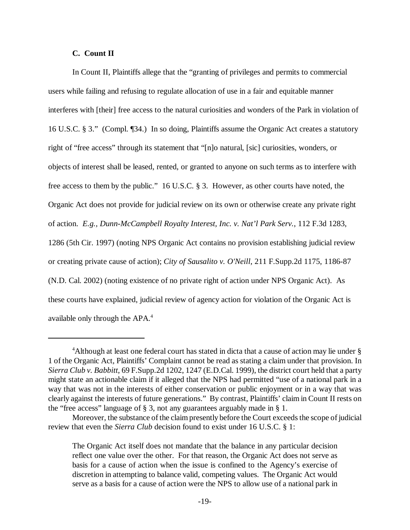### **C. Count II**

In Count II, Plaintiffs allege that the "granting of privileges and permits to commercial users while failing and refusing to regulate allocation of use in a fair and equitable manner interferes with [their] free access to the natural curiosities and wonders of the Park in violation of 16 U.S.C. § 3." (Compl. ¶34.) In so doing, Plaintiffs assume the Organic Act creates a statutory right of "free access" through its statement that "[n]o natural, [sic] curiosities, wonders, or objects of interest shall be leased, rented, or granted to anyone on such terms as to interfere with free access to them by the public." 16 U.S.C. § 3. However, as other courts have noted, the Organic Act does not provide for judicial review on its own or otherwise create any private right of action. *E.g., Dunn-McCampbell Royalty Interest, Inc. v. Nat'l Park Serv.*, 112 F.3d 1283, 1286 (5th Cir. 1997) (noting NPS Organic Act contains no provision establishing judicial review or creating private cause of action); *City of Sausalito v. O'Neill*, 211 F.Supp.2d 1175, 1186-87 (N.D. Cal. 2002) (noting existence of no private right of action under NPS Organic Act). As these courts have explained, judicial review of agency action for violation of the Organic Act is available only through the APA.4

<sup>4</sup>Although at least one federal court has stated in dicta that a cause of action may lie under § 1 of the Organic Act, Plaintiffs' Complaint cannot be read as stating a claim under that provision. In *Sierra Club v. Babbitt*, 69 F.Supp.2d 1202, 1247 (E.D.Cal. 1999), the district court held that a party might state an actionable claim if it alleged that the NPS had permitted "use of a national park in a way that was not in the interests of either conservation or public enjoyment or in a way that was clearly against the interests of future generations." By contrast, Plaintiffs' claim in Count II rests on the "free access" language of § 3, not any guarantees arguably made in § 1.

Moreover, the substance of the claim presently before the Court exceeds the scope of judicial review that even the *Sierra Club* decision found to exist under 16 U.S.C. § 1:

The Organic Act itself does not mandate that the balance in any particular decision reflect one value over the other. For that reason, the Organic Act does not serve as basis for a cause of action when the issue is confined to the Agency's exercise of discretion in attempting to balance valid, competing values. The Organic Act would serve as a basis for a cause of action were the NPS to allow use of a national park in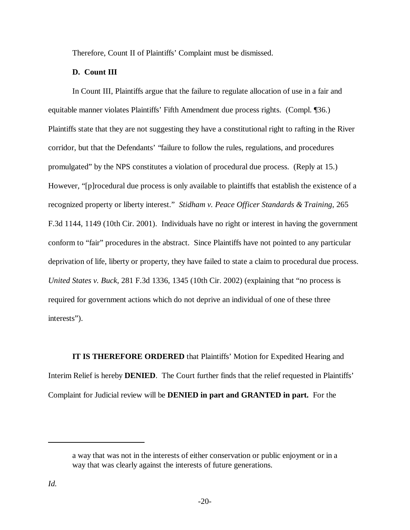Therefore, Count II of Plaintiffs' Complaint must be dismissed.

# **D. Count III**

In Count III, Plaintiffs argue that the failure to regulate allocation of use in a fair and equitable manner violates Plaintiffs' Fifth Amendment due process rights. (Compl. ¶36.) Plaintiffs state that they are not suggesting they have a constitutional right to rafting in the River corridor, but that the Defendants' "failure to follow the rules, regulations, and procedures promulgated" by the NPS constitutes a violation of procedural due process. (Reply at 15.) However, "[p]rocedural due process is only available to plaintiffs that establish the existence of a recognized property or liberty interest." *Stidham v. Peace Officer Standards & Training*, 265 F.3d 1144, 1149 (10th Cir. 2001). Individuals have no right or interest in having the government conform to "fair" procedures in the abstract. Since Plaintiffs have not pointed to any particular deprivation of life, liberty or property, they have failed to state a claim to procedural due process. *United States v. Buck*, 281 F.3d 1336, 1345 (10th Cir. 2002) (explaining that "no process is required for government actions which do not deprive an individual of one of these three interests").

**IT IS THEREFORE ORDERED** that Plaintiffs' Motion for Expedited Hearing and Interim Relief is hereby **DENIED**. The Court further finds that the relief requested in Plaintiffs' Complaint for Judicial review will be **DENIED in part and GRANTED in part.** For the

a way that was not in the interests of either conservation or public enjoyment or in a way that was clearly against the interests of future generations.